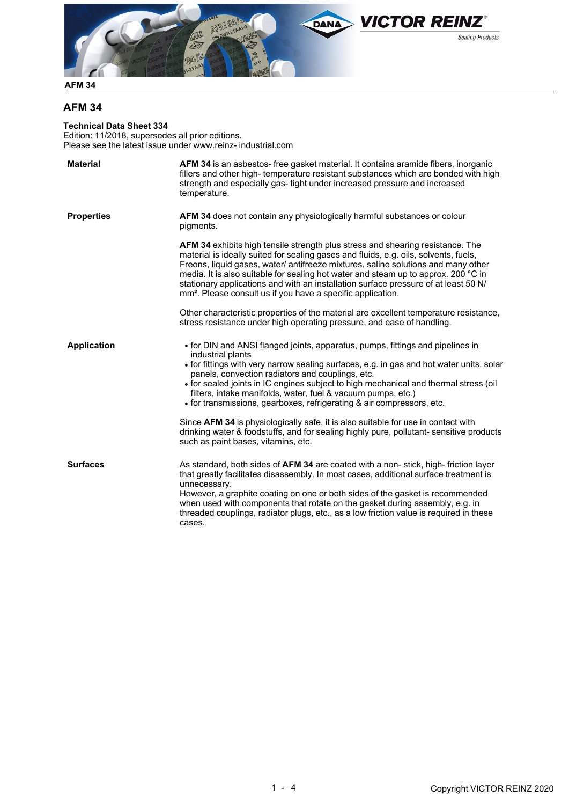

# **AFM 34**

**Technical Data Sheet 334**

Edition: 11/2018, supersedes all prior editions. Please see the latest issue under www.reinz- industrial.com

| <b>Material</b>    | <b>AFM 34</b> is an asbestos- free gasket material. It contains aramide fibers, inorganic<br>fillers and other high-temperature resistant substances which are bonded with high<br>strength and especially gas- tight under increased pressure and increased<br>temperature.                                                                                                                                                                                                                                                                                                                                                                                                                                |
|--------------------|-------------------------------------------------------------------------------------------------------------------------------------------------------------------------------------------------------------------------------------------------------------------------------------------------------------------------------------------------------------------------------------------------------------------------------------------------------------------------------------------------------------------------------------------------------------------------------------------------------------------------------------------------------------------------------------------------------------|
| <b>Properties</b>  | AFM 34 does not contain any physiologically harmful substances or colour<br>pigments.                                                                                                                                                                                                                                                                                                                                                                                                                                                                                                                                                                                                                       |
|                    | AFM 34 exhibits high tensile strength plus stress and shearing resistance. The<br>material is ideally suited for sealing gases and fluids, e.g. oils, solvents, fuels,<br>Freons, liquid gases, water/ antifreeze mixtures, saline solutions and many other<br>media. It is also suitable for sealing hot water and steam up to approx. 200 °C in<br>stationary applications and with an installation surface pressure of at least 50 N/<br>mm <sup>2</sup> . Please consult us if you have a specific application.                                                                                                                                                                                         |
|                    | Other characteristic properties of the material are excellent temperature resistance,<br>stress resistance under high operating pressure, and ease of handling.                                                                                                                                                                                                                                                                                                                                                                                                                                                                                                                                             |
| <b>Application</b> | • for DIN and ANSI flanged joints, apparatus, pumps, fittings and pipelines in<br>industrial plants<br>• for fittings with very narrow sealing surfaces, e.g. in gas and hot water units, solar<br>panels, convection radiators and couplings, etc.<br>• for sealed joints in IC engines subject to high mechanical and thermal stress (oil<br>filters, intake manifolds, water, fuel & vacuum pumps, etc.)<br>• for transmissions, gearboxes, refrigerating & air compressors, etc.<br>Since AFM 34 is physiologically safe, it is also suitable for use in contact with<br>drinking water & foodstuffs, and for sealing highly pure, pollutant- sensitive products<br>such as paint bases, vitamins, etc. |
| <b>Surfaces</b>    | As standard, both sides of AFM 34 are coated with a non-stick, high-friction layer<br>that greatly facilitates disassembly. In most cases, additional surface treatment is<br>unnecessary.<br>However, a graphite coating on one or both sides of the gasket is recommended<br>when used with components that rotate on the gasket during assembly, e.g. in<br>threaded couplings, radiator plugs, etc., as a low friction value is required in these<br>cases.                                                                                                                                                                                                                                             |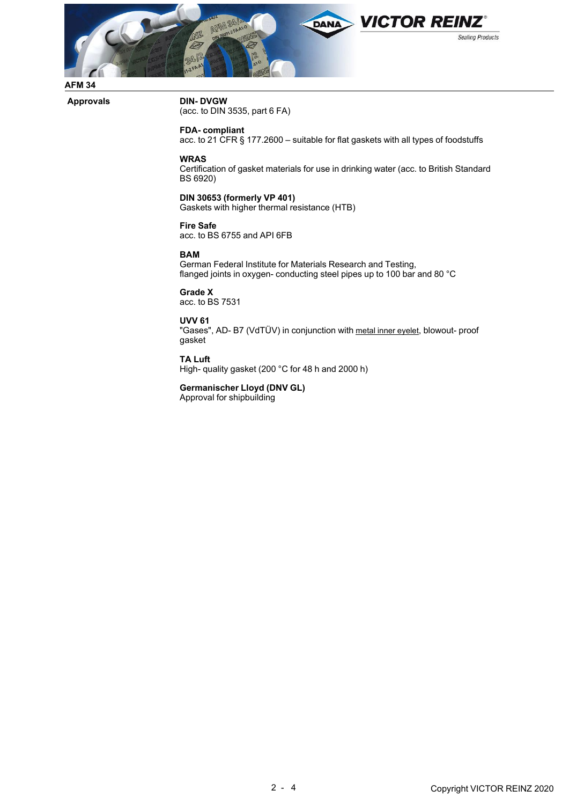

### **Approvals DIN- DVGW**

(acc. to DIN 3535, part 6 FA)

## **FDA- compliant**

acc. to 21 CFR § 177.2600 – suitable for flat gaskets with all types of foodstuffs

#### **WRAS**

Certification of gasket materials for use in drinking water (acc. to British Standard BS 6920)

### **DIN 30653 (formerly VP 401)**

Gaskets with higher thermal resistance (HTB)

## **Fire Safe**

acc. to BS 6755 and API 6FB

#### **BAM**

German Federal Institute for Materials Research and Testing, flanged joints in oxygen- conducting steel pipes up to 100 bar and 80 °C

## **Grade X**

acc. to BS 7531

## **UVV 61**

"Gases", AD- B7 (VdTÜV) in conjunction with metal inner eyelet, blowout- proof gasket

#### **TA Luft**

High- quality gasket (200 °C for 48 h and 2000 h)

### **Germanischer Lloyd (DNV GL)**

Approval for shipbuilding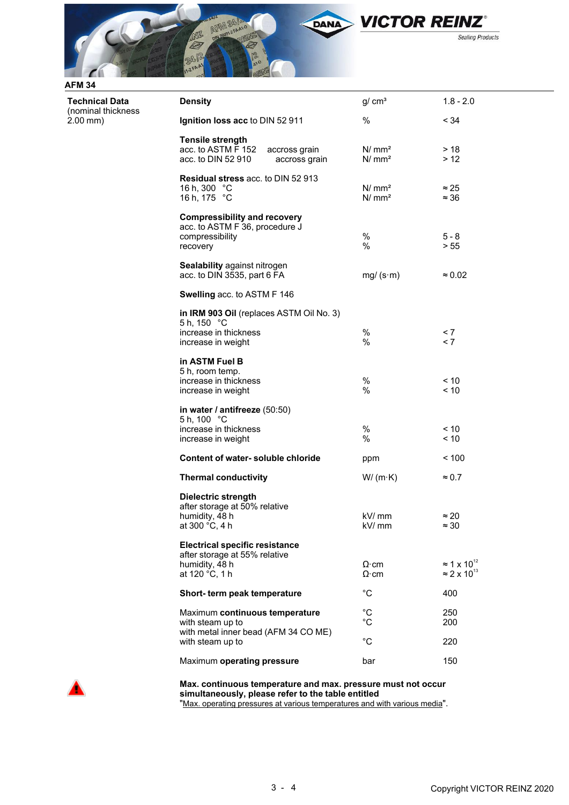

2.00 mm)

**Technical Data** (nominal thickness

| <b>Density</b>                                                                                                                              | g/cm <sup>3</sup>                      | $1.8 - 2.0$                                                      |
|---------------------------------------------------------------------------------------------------------------------------------------------|----------------------------------------|------------------------------------------------------------------|
| Ignition loss acc to DIN 52 911                                                                                                             | %                                      | < 34                                                             |
| <b>Tensile strength</b><br>acc. to ASTM F 152<br>accross grain<br>acc. to DIN 52 910<br>accross grain                                       | N/mm <sup>2</sup><br>N/mm <sup>2</sup> | > 18<br>> 12                                                     |
| Residual stress acc. to DIN 52 913<br>16 h, 300 °C<br>16 h, 175 °C                                                                          | N/mm <sup>2</sup><br>N/mm <sup>2</sup> | $\approx$ 25<br>$\approx$ 36                                     |
| <b>Compressibility and recovery</b><br>acc. to ASTM F 36, procedure J<br>compressibility<br>recovery<br><b>Sealability against nitrogen</b> | $\%$<br>$\%$                           | $5 - 8$<br>> 55                                                  |
| acc. to DIN 3535, part 6 FA                                                                                                                 | $mg/(s \cdot m)$                       | $\approx 0.02$                                                   |
| Swelling acc. to ASTM F 146                                                                                                                 |                                        |                                                                  |
| in IRM 903 Oil (replaces ASTM Oil No. 3)<br>5 h, 150 °C<br>increase in thickness<br>increase in weight                                      | %<br>$\%$                              | < 7<br>< 7                                                       |
| in ASTM Fuel B<br>5 h, room temp.<br>increase in thickness<br>increase in weight                                                            | %<br>%                                 | < 10<br>< 10                                                     |
| in water / antifreeze (50:50)<br>5 h, 100 °C<br>increase in thickness<br>increase in weight                                                 | $\%$<br>%                              | ~10<br>< 10                                                      |
| Content of water-soluble chloride                                                                                                           | ppm                                    | ~100                                                             |
| <b>Thermal conductivity</b>                                                                                                                 | $W/(m \cdot K)$                        | $\approx 0.7$                                                    |
| <b>Dielectric strength</b><br>after storage at 50% relative<br>humidity, 48 h<br>at 300 °C, 4 h                                             | kV/ mm<br>kV/ mm                       | ≈ 20<br>$\approx$ 30                                             |
| <b>Electrical specific resistance</b><br>after storage at 55% relative<br>humidity, 48 h<br>at 120 °C, 1 h                                  | $\Omega$ ·cm<br>$\Omega$ ·cm           | $\approx$ 1 x 10 <sup>12</sup><br>$\approx$ 2 x 10 <sup>13</sup> |
| Short- term peak temperature                                                                                                                | $^{\circ}C$                            | 400                                                              |
| Maximum continuous temperature<br>with steam up to<br>with metal inner bead (AFM 34 CO ME)                                                  | $^{\circ}C$<br>°C                      | 250<br>200                                                       |
| with steam up to                                                                                                                            | $^{\circ}C$                            | 220                                                              |
| Maximum operating pressure                                                                                                                  | bar                                    | 150                                                              |



**Max. continuous temperature and max. pressure must not occur simultaneously, please refer to the table entitled** "Max. operating pressures at various temperatures and with various media".